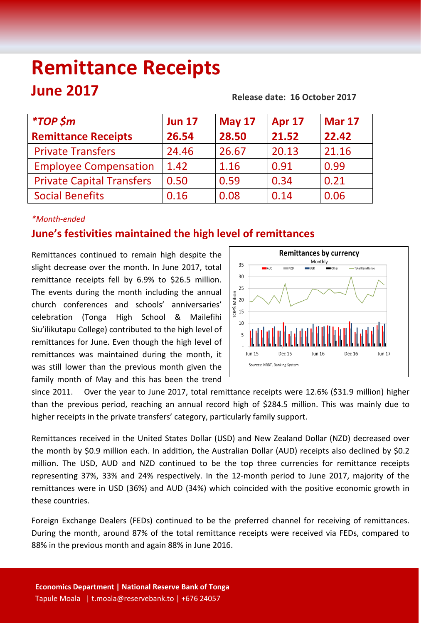# **Remittance Receipts June 2017 Release date: 16 October 2017**

| <i>*TOP</i> \$m                  | <b>Jun 17</b> | <b>May 17</b> | <b>Apr 17</b> | <b>Mar 17</b> |
|----------------------------------|---------------|---------------|---------------|---------------|
| <b>Remittance Receipts</b>       | 26.54         | 28.50         | 21.52         | 22.42         |
| <b>Private Transfers</b>         | 24.46         | 26.67         | 20.13         | 21.16         |
| <b>Employee Compensation</b>     | 1.42          | 1.16          | 0.91          | 0.99          |
| <b>Private Capital Transfers</b> | 0.50          | 0.59          | 0.34          | 0.21          |
| <b>Social Benefits</b>           | 0.16          | 0.08          | 0.14          | 0.06          |

#### *\*Month-ended*

## **June's festivities maintained the high level of remittances**

Remittances continued to remain high despite the slight decrease over the month. In June 2017, total remittance receipts fell by 6.9% to \$26.5 million. The events during the month including the annual church conferences and schools' anniversaries' celebration (Tonga High School & Mailefihi Siu'ilikutapu College) contributed to the high level of remittances for June. Even though the high level of remittances was maintained during the month, it was still lower than the previous month given the family month of May and this has been the trend



since 2011. Over the year to June 2017, total remittance receipts were 12.6% (\$31.9 million) higher than the previous period, reaching an annual record high of \$284.5 million. This was mainly due to higher receipts in the private transfers' category, particularly family support.

Remittances received in the United States Dollar (USD) and New Zealand Dollar (NZD) decreased over the month by \$0.9 million each. In addition, the Australian Dollar (AUD) receipts also declined by \$0.2 million. The USD, AUD and NZD continued to be the top three currencies for remittance receipts representing 37%, 33% and 24% respectively. In the 12-month period to June 2017, majority of the remittances were in USD (36%) and AUD (34%) which coincided with the positive economic growth in these countries.

Foreign Exchange Dealers (FEDs) continued to be the preferred channel for receiving of remittances. During the month, around 87% of the total remittance receipts were received via FEDs, compared to 88% in the previous month and again 88% in June 2016.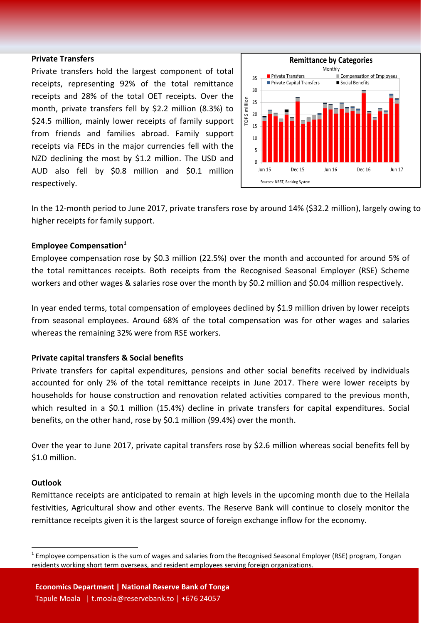#### **Private Transfers**

Private transfers hold the largest component of total receipts, representing 92% of the total remittance receipts and 28% of the total OET receipts. Over the month, private transfers fell by \$2.2 million (8.3%) to \$24.5 million, mainly lower receipts of family support from friends and families abroad. Family support receipts via FEDs in the major currencies fell with the NZD declining the most by \$1.2 million. The USD and AUD also fell by \$0.8 million and \$0.1 million respectively.



In the 12-month period to June 2017, private transfers rose by around 14% (\$32.2 million), largely owing to higher receipts for family support.

#### **Employee Compensation[1](#page-1-0)**

Employee compensation rose by \$0.3 million (22.5%) over the month and accounted for around 5% of the total remittances receipts. Both receipts from the Recognised Seasonal Employer (RSE) Scheme workers and other wages & salaries rose over the month by \$0.2 million and \$0.04 million respectively.

In year ended terms, total compensation of employees declined by \$1.9 million driven by lower receipts from seasonal employees. Around 68% of the total compensation was for other wages and salaries whereas the remaining 32% were from RSE workers.

#### **Private capital transfers & Social benefits**

Private transfers for capital expenditures, pensions and other social benefits received by individuals accounted for only 2% of the total remittance receipts in June 2017. There were lower receipts by households for house construction and renovation related activities compared to the previous month, which resulted in a \$0.1 million (15.4%) decline in private transfers for capital expenditures. Social benefits, on the other hand, rose by \$0.1 million (99.4%) over the month.

Over the year to June 2017, private capital transfers rose by \$2.6 million whereas social benefits fell by \$1.0 million.

#### **Outlook**

Remittance receipts are anticipated to remain at high levels in the upcoming month due to the Heilala festivities, Agricultural show and other events. The Reserve Bank will continue to closely monitor the remittance receipts given it is the largest source of foreign exchange inflow for the economy.

<span id="page-1-0"></span> $1$  Employee compensation is the sum of wages and salaries from the Recognised Seasonal Employer (RSE) program, Tongan residents working short term overseas, and resident employees serving foreign organizations.